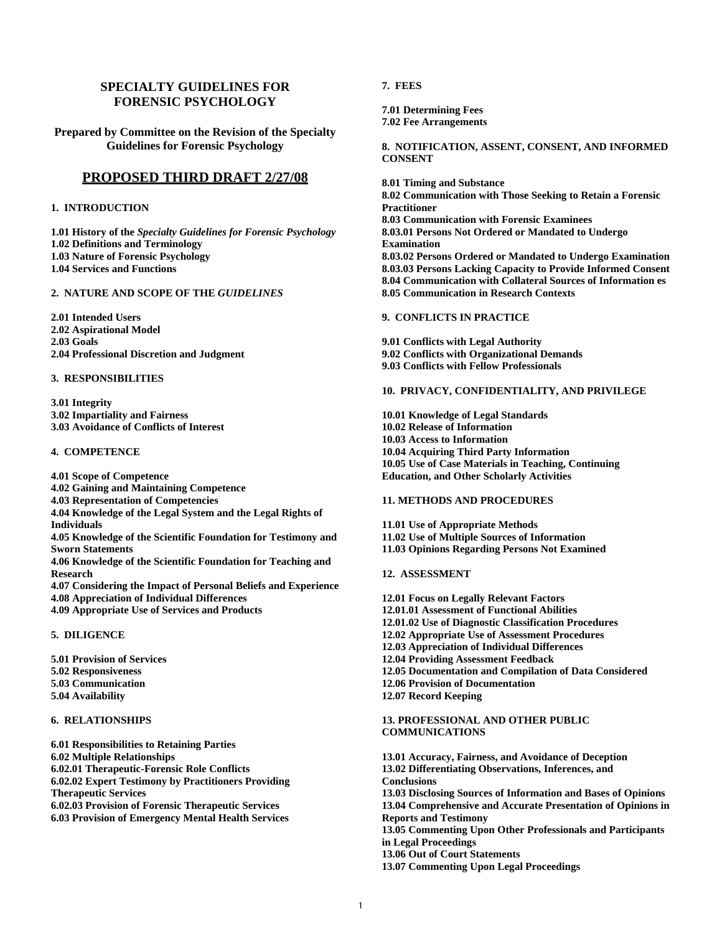#### **SPECIALTY GUIDELINES FOR FORENSIC PSYCHOLOGY**

**Prepared by Committee on the Revision of the Specialty Guidelines for Forensic Psychology** 

#### **PROPOSED THIRD DRAFT 2/27/08**

#### **1. INTRODUCTION**

**1.01 History of the** *Specialty Guidelines for Forensic Psychology*  **1.02 Definitions and Terminology 1.03 Nature of Forensic Psychology 1.04 Services and Functions**

#### **2. NATURE AND SCOPE OF THE** *GUIDELINES*

**2.01 Intended Users 2.02 Aspirational Model 2.03 Goals 2.04 Professional Discretion and Judgment** 

#### **3. RESPONSIBILITIES**

**3.01 Integrity 3.02 Impartiality and Fairness 3.03 Avoidance of Conflicts of Interest** 

#### **4. COMPETENCE**

- **4.01 Scope of Competence**
- **4.02 Gaining and Maintaining Competence**
- **4.03 Representation of Competencies**
- **4.04 Knowledge of the Legal System and the Legal Rights of Individuals**

**4.05 Knowledge of the Scientific Foundation for Testimony and Sworn Statements**

**4.06 Knowledge of the Scientific Foundation for Teaching and Research**

**4.07 Considering the Impact of Personal Beliefs and Experience**

**4.08 Appreciation of Individual Differences**

**4.09 Appropriate Use of Services and Products**

#### **5. DILIGENCE**

- **5.01 Provision of Services**
- **5.02 Responsiveness**
- **5.03 Communication**
- **5.04 Availability**

#### **6. RELATIONSHIPS**

**6.01 Responsibilities to Retaining Parties 6.02 Multiple Relationships 6.02.01 Therapeutic-Forensic Role Conflicts 6.02.02 Expert Testimony by Practitioners Providing Therapeutic Services 6.02.03 Provision of Forensic Therapeutic Services 6.03 Provision of Emergency Mental Health Services**

**7. FEES**

**7.01 Determining Fees 7.02 Fee Arrangements**

**8. NOTIFICATION, ASSENT, CONSENT, AND INFORMED CONSENT**

**8.01 Timing and Substance 8.02 Communication with Those Seeking to Retain a Forensic Practitioner 8.03 Communication with Forensic Examinees 8.03.01 Persons Not Ordered or Mandated to Undergo Examination 8.03.02 Persons Ordered or Mandated to Undergo Examination 8.03.03 Persons Lacking Capacity to Provide Informed Consent 8.04 Communication with Collateral Sources of Information es 8.05 Communication in Research Contexts**

#### **9. CONFLICTS IN PRACTICE**

**9.01 Conflicts with Legal Authority 9.02 Conflicts with Organizational Demands 9.03 Conflicts with Fellow Professionals**

**10. PRIVACY, CONFIDENTIALITY, AND PRIVILEGE** 

**10.01 Knowledge of Legal Standards 10.02 Release of Information 10.03 Access to Information 10.04 Acquiring Third Party Information 10.05 Use of Case Materials in Teaching, Continuing Education, and Other Scholarly Activities** 

#### **11. METHODS AND PROCEDURES**

**11.01 Use of Appropriate Methods 11.02 Use of Multiple Sources of Information 11.03 Opinions Regarding Persons Not Examined** 

#### **12. ASSESSMENT**

**12.01 Focus on Legally Relevant Factors 12.01.01 Assessment of Functional Abilities 12.01.02 Use of Diagnostic Classification Procedures 12.02 Appropriate Use of Assessment Procedures 12.03 Appreciation of Individual Differences 12.04 Providing Assessment Feedback 12.05 Documentation and Compilation of Data Considered 12.06 Provision of Documentation 12.07 Record Keeping** 

#### **13. PROFESSIONAL AND OTHER PUBLIC COMMUNICATIONS**

**13.01 Accuracy, Fairness, and Avoidance of Deception 13.02 Differentiating Observations, Inferences, and Conclusions 13.03 Disclosing Sources of Information and Bases of Opinions 13.04 Comprehensive and Accurate Presentation of Opinions in Reports and Testimony 13.05 Commenting Upon Other Professionals and Participants in Legal Proceedings 13.06 Out of Court Statements 13.07 Commenting Upon Legal Proceedings**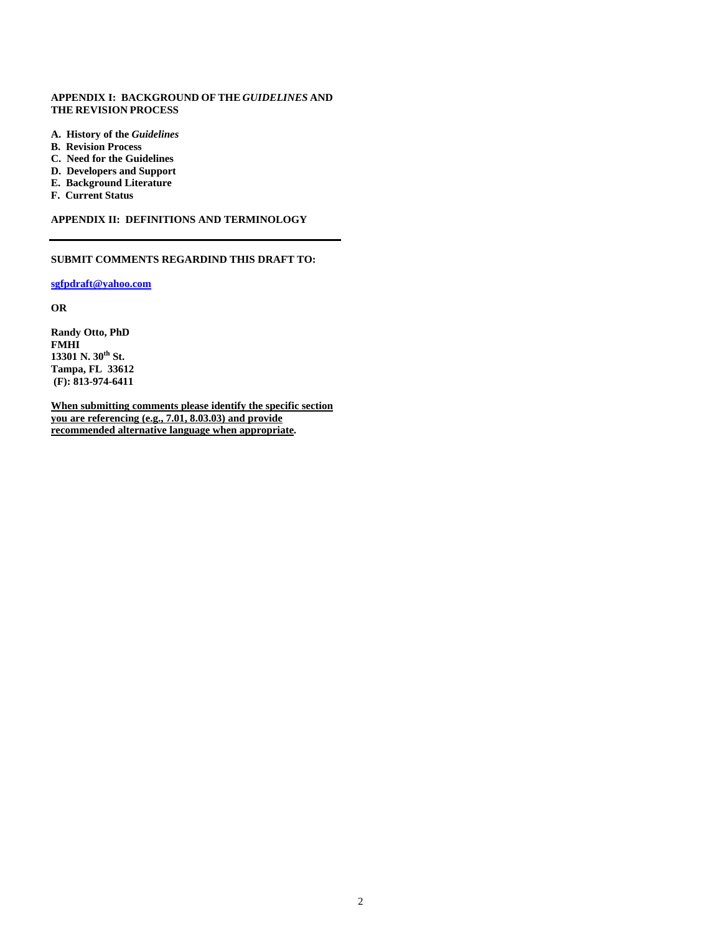#### **APPENDIX I: BACKGROUND OF THE** *GUIDELINES* **AND THE REVISION PROCESS**

- **A. History of the** *Guidelines*
- **B. Revision Process**
- **C. Need for the Guidelines**
- **D. Developers and Support**
- **E. Background Literature**
- **F. Current Status**

**APPENDIX II: DEFINITIONS AND TERMINOLOGY** 

**SUBMIT COMMENTS REGARDIND THIS DRAFT TO:** 

**[sgfpdraft@yahoo.com](mailto:sgfpdraft@yahoo.com)**

**OR** 

**Randy Otto, PhD FMHI**  13301 N. 30<sup>th</sup> St. **Tampa, FL 33612 (F): 813-974-6411** 

**When submitting comments please identify the specific section you are referencing (e.g., 7.01, 8.03.03) and provide recommended alternative language when appropriate.**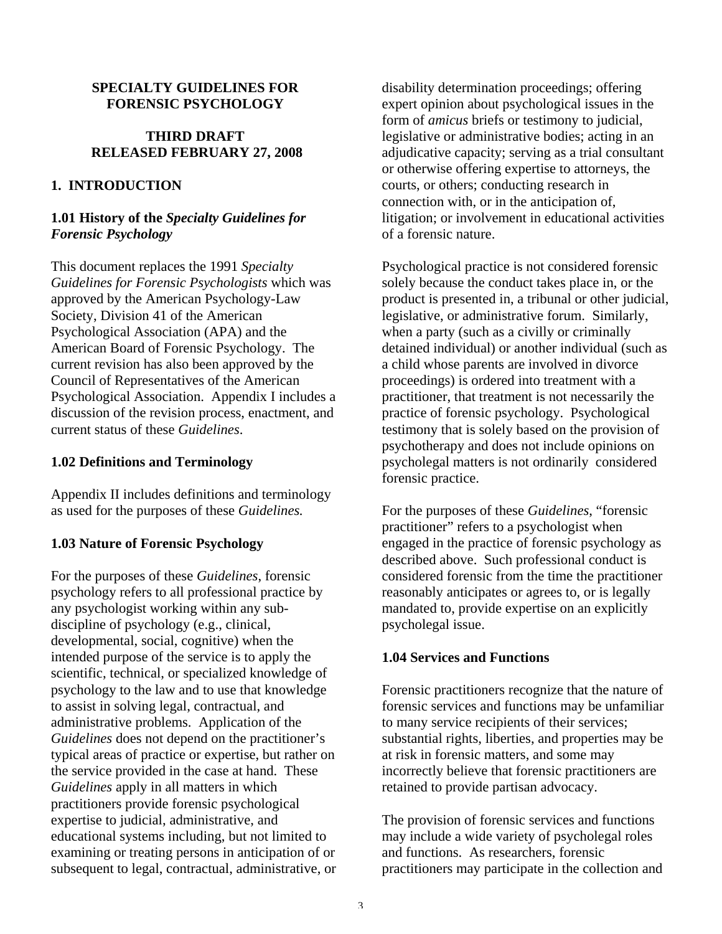### **SPECIALTY GUIDELINES FOR FORENSIC PSYCHOLOGY**

#### **THIRD DRAFT RELEASED FEBRUARY 27, 2008**

# **1. INTRODUCTION**

## **1.01 History of the** *Specialty Guidelines for Forensic Psychology*

This document replaces the 1991 *Specialty Guidelines for Forensic Psychologists* which was approved by the American Psychology-Law Society, Division 41 of the American Psychological Association (APA) and the American Board of Forensic Psychology. The current revision has also been approved by the Council of Representatives of the American Psychological Association. Appendix I includes a discussion of the revision process, enactment, and current status of these *Guidelines*.

#### **1.02 Definitions and Terminology**

Appendix II includes definitions and terminology as used for the purposes of these *Guidelines.*

## **1.03 Nature of Forensic Psychology**

For the purposes of these *Guidelines*, forensic psychology refers to all professional practice by any psychologist working within any subdiscipline of psychology (e.g., clinical, developmental, social, cognitive) when the intended purpose of the service is to apply the scientific, technical, or specialized knowledge of psychology to the law and to use that knowledge to assist in solving legal, contractual, and administrative problems. Application of the *Guidelines* does not depend on the practitioner's typical areas of practice or expertise, but rather on the service provided in the case at hand. These *Guidelines* apply in all matters in which practitioners provide forensic psychological expertise to judicial, administrative, and educational systems including, but not limited to examining or treating persons in anticipation of or subsequent to legal, contractual, administrative, or disability determination proceedings; offering expert opinion about psychological issues in the form of *amicus* briefs or testimony to judicial, legislative or administrative bodies; acting in an adjudicative capacity; serving as a trial consultant or otherwise offering expertise to attorneys, the courts, or others; conducting research in connection with, or in the anticipation of, litigation; or involvement in educational activities of a forensic nature.

Psychological practice is not considered forensic solely because the conduct takes place in, or the product is presented in, a tribunal or other judicial, legislative, or administrative forum. Similarly, when a party (such as a civilly or criminally detained individual) or another individual (such as a child whose parents are involved in divorce proceedings) is ordered into treatment with a practitioner, that treatment is not necessarily the practice of forensic psychology. Psychological testimony that is solely based on the provision of psychotherapy and does not include opinions on psycholegal matters is not ordinarily considered forensic practice.

For the purposes of these *Guidelines*, "forensic practitioner" refers to a psychologist when engaged in the practice of forensic psychology as described above. Such professional conduct is considered forensic from the time the practitioner reasonably anticipates or agrees to, or is legally mandated to, provide expertise on an explicitly psycholegal issue.

#### **1.04 Services and Functions**

Forensic practitioners recognize that the nature of forensic services and functions may be unfamiliar to many service recipients of their services; substantial rights, liberties, and properties may be at risk in forensic matters, and some may incorrectly believe that forensic practitioners are retained to provide partisan advocacy.

The provision of forensic services and functions may include a wide variety of psycholegal roles and functions. As researchers, forensic practitioners may participate in the collection and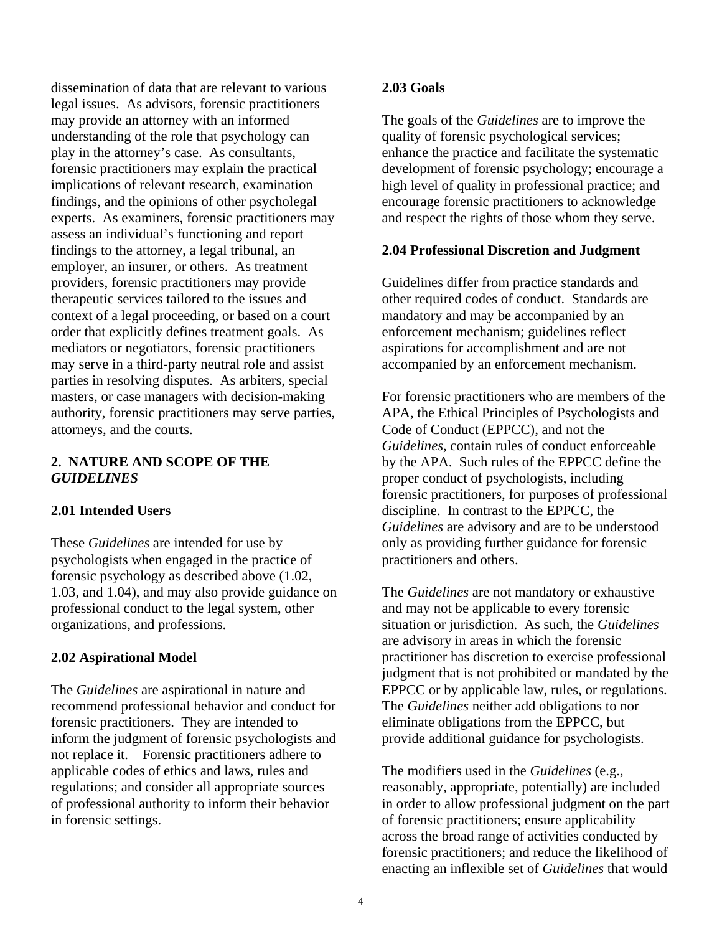dissemination of data that are relevant to various legal issues. As advisors, forensic practitioners may provide an attorney with an informed understanding of the role that psychology can play in the attorney's case. As consultants, forensic practitioners may explain the practical implications of relevant research, examination findings, and the opinions of other psycholegal experts. As examiners, forensic practitioners may assess an individual's functioning and report findings to the attorney, a legal tribunal, an employer, an insurer, or others. As treatment providers, forensic practitioners may provide therapeutic services tailored to the issues and context of a legal proceeding, or based on a court order that explicitly defines treatment goals. As mediators or negotiators, forensic practitioners may serve in a third-party neutral role and assist parties in resolving disputes. As arbiters, special masters, or case managers with decision-making authority, forensic practitioners may serve parties, attorneys, and the courts.

### **2. NATURE AND SCOPE OF THE**  *GUIDELINES*

#### **2.01 Intended Users**

These *Guidelines* are intended for use by psychologists when engaged in the practice of forensic psychology as described above (1.02, 1.03, and 1.04), and may also provide guidance on professional conduct to the legal system, other organizations, and professions.

#### **2.02 Aspirational Model**

The *Guidelines* are aspirational in nature and recommend professional behavior and conduct for forensic practitioners. They are intended to inform the judgment of forensic psychologists and not replace it. Forensic practitioners adhere to applicable codes of ethics and laws, rules and regulations; and consider all appropriate sources of professional authority to inform their behavior in forensic settings.

#### **2.03 Goals**

The goals of the *Guidelines* are to improve the quality of forensic psychological services; enhance the practice and facilitate the systematic development of forensic psychology; encourage a high level of quality in professional practice; and encourage forensic practitioners to acknowledge and respect the rights of those whom they serve.

#### **2.04 Professional Discretion and Judgment**

Guidelines differ from practice standards and other required codes of conduct. Standards are mandatory and may be accompanied by an enforcement mechanism; guidelines reflect aspirations for accomplishment and are not accompanied by an enforcement mechanism.

For forensic practitioners who are members of the APA, the Ethical Principles of Psychologists and Code of Conduct (EPPCC), and not the *Guidelines*, contain rules of conduct enforceable by the APA. Such rules of the EPPCC define the proper conduct of psychologists, including forensic practitioners, for purposes of professional discipline. In contrast to the EPPCC, the *Guidelines* are advisory and are to be understood only as providing further guidance for forensic practitioners and others.

The *Guidelines* are not mandatory or exhaustive and may not be applicable to every forensic situation or jurisdiction. As such, the *Guidelines* are advisory in areas in which the forensic practitioner has discretion to exercise professional judgment that is not prohibited or mandated by the EPPCC or by applicable law, rules, or regulations. The *Guidelines* neither add obligations to nor eliminate obligations from the EPPCC, but provide additional guidance for psychologists.

The modifiers used in the *Guidelines* (e.g., reasonably, appropriate, potentially) are included in order to allow professional judgment on the part of forensic practitioners; ensure applicability across the broad range of activities conducted by forensic practitioners; and reduce the likelihood of enacting an inflexible set of *Guidelines* that would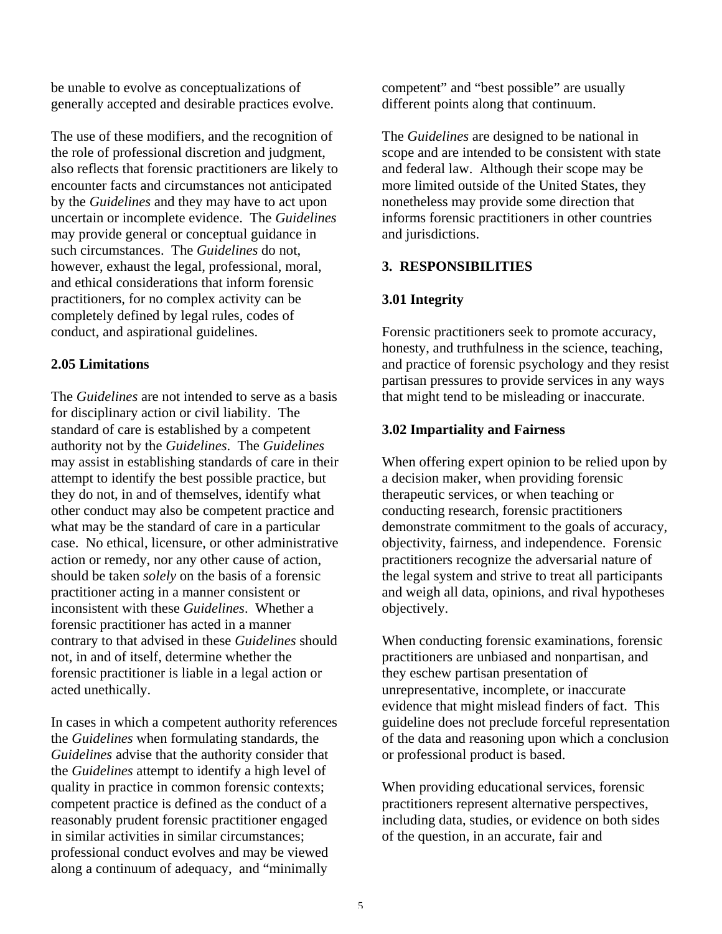be unable to evolve as conceptualizations of generally accepted and desirable practices evolve.

The use of these modifiers, and the recognition of the role of professional discretion and judgment, also reflects that forensic practitioners are likely to encounter facts and circumstances not anticipated by the *Guidelines* and they may have to act upon uncertain or incomplete evidence. The *Guidelines* may provide general or conceptual guidance in such circumstances. The *Guidelines* do not, however, exhaust the legal, professional, moral, and ethical considerations that inform forensic practitioners, for no complex activity can be completely defined by legal rules, codes of conduct, and aspirational guidelines.

## **2.05 Limitations**

The *Guidelines* are not intended to serve as a basis for disciplinary action or civil liability. The standard of care is established by a competent authority not by the *Guidelines*. The *Guidelines* may assist in establishing standards of care in their attempt to identify the best possible practice, but they do not, in and of themselves, identify what other conduct may also be competent practice and what may be the standard of care in a particular case. No ethical, licensure, or other administrative action or remedy, nor any other cause of action, should be taken *solely* on the basis of a forensic practitioner acting in a manner consistent or inconsistent with these *Guidelines*. Whether a forensic practitioner has acted in a manner contrary to that advised in these *Guidelines* should not, in and of itself, determine whether the forensic practitioner is liable in a legal action or acted unethically.

In cases in which a competent authority references the *Guidelines* when formulating standards, the *Guidelines* advise that the authority consider that the *Guidelines* attempt to identify a high level of quality in practice in common forensic contexts; competent practice is defined as the conduct of a reasonably prudent forensic practitioner engaged in similar activities in similar circumstances; professional conduct evolves and may be viewed along a continuum of adequacy, and "minimally

competent" and "best possible" are usually different points along that continuum.

The *Guidelines* are designed to be national in scope and are intended to be consistent with state and federal law. Although their scope may be more limited outside of the United States, they nonetheless may provide some direction that informs forensic practitioners in other countries and jurisdictions.

# **3. RESPONSIBILITIES**

# **3.01 Integrity**

Forensic practitioners seek to promote accuracy, honesty, and truthfulness in the science, teaching, and practice of forensic psychology and they resist partisan pressures to provide services in any ways that might tend to be misleading or inaccurate.

## **3.02 Impartiality and Fairness**

When offering expert opinion to be relied upon by a decision maker, when providing forensic therapeutic services, or when teaching or conducting research, forensic practitioners demonstrate commitment to the goals of accuracy, objectivity, fairness, and independence. Forensic practitioners recognize the adversarial nature of the legal system and strive to treat all participants and weigh all data, opinions, and rival hypotheses objectively.

When conducting forensic examinations, forensic practitioners are unbiased and nonpartisan, and they eschew partisan presentation of unrepresentative, incomplete, or inaccurate evidence that might mislead finders of fact. This guideline does not preclude forceful representation of the data and reasoning upon which a conclusion or professional product is based.

When providing educational services, forensic practitioners represent alternative perspectives, including data, studies, or evidence on both sides of the question, in an accurate, fair and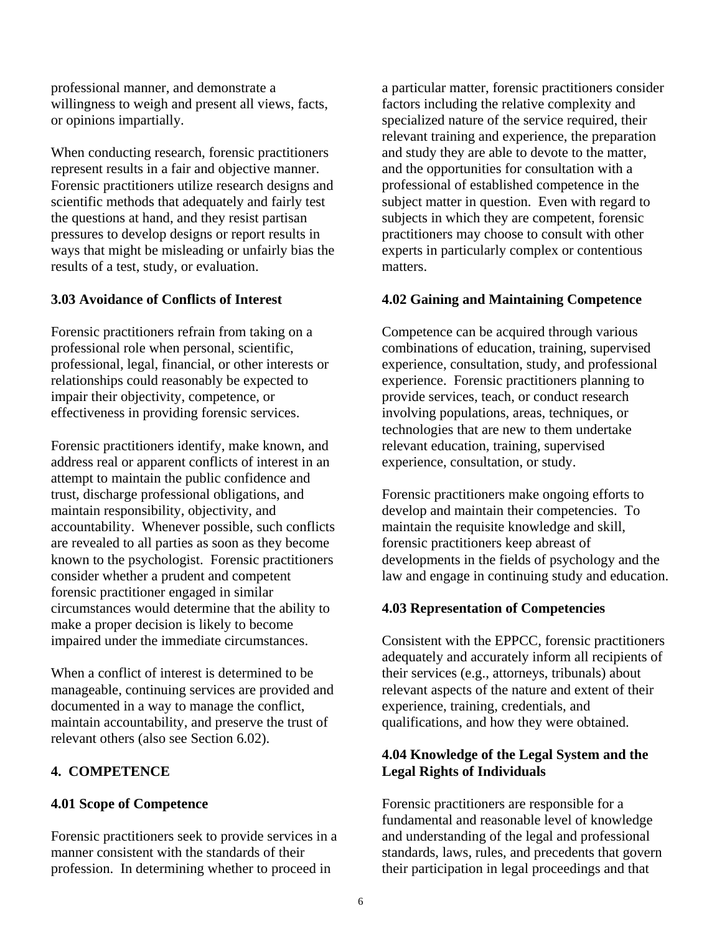professional manner, and demonstrate a willingness to weigh and present all views, facts, or opinions impartially.

When conducting research, forensic practitioners represent results in a fair and objective manner. Forensic practitioners utilize research designs and scientific methods that adequately and fairly test the questions at hand, and they resist partisan pressures to develop designs or report results in ways that might be misleading or unfairly bias the results of a test, study, or evaluation.

## **3.03 Avoidance of Conflicts of Interest**

Forensic practitioners refrain from taking on a professional role when personal, scientific, professional, legal, financial, or other interests or relationships could reasonably be expected to impair their objectivity, competence, or effectiveness in providing forensic services.

Forensic practitioners identify, make known, and address real or apparent conflicts of interest in an attempt to maintain the public confidence and trust, discharge professional obligations, and maintain responsibility, objectivity, and accountability. Whenever possible, such conflicts are revealed to all parties as soon as they become known to the psychologist. Forensic practitioners consider whether a prudent and competent forensic practitioner engaged in similar circumstances would determine that the ability to make a proper decision is likely to become impaired under the immediate circumstances.

When a conflict of interest is determined to be manageable, continuing services are provided and documented in a way to manage the conflict, maintain accountability, and preserve the trust of relevant others (also see Section 6.02).

## **4. COMPETENCE**

#### **4.01 Scope of Competence**

Forensic practitioners seek to provide services in a manner consistent with the standards of their profession. In determining whether to proceed in

a particular matter, forensic practitioners consider factors including the relative complexity and specialized nature of the service required, their relevant training and experience, the preparation and study they are able to devote to the matter, and the opportunities for consultation with a professional of established competence in the subject matter in question. Even with regard to subjects in which they are competent, forensic practitioners may choose to consult with other experts in particularly complex or contentious matters.

## **4.02 Gaining and Maintaining Competence**

Competence can be acquired through various combinations of education, training, supervised experience, consultation, study, and professional experience. Forensic practitioners planning to provide services, teach, or conduct research involving populations, areas, techniques, or technologies that are new to them undertake relevant education, training, supervised experience, consultation, or study.

Forensic practitioners make ongoing efforts to develop and maintain their competencies. To maintain the requisite knowledge and skill, forensic practitioners keep abreast of developments in the fields of psychology and the law and engage in continuing study and education.

#### **4.03 Representation of Competencies**

Consistent with the EPPCC, forensic practitioners adequately and accurately inform all recipients of their services (e.g., attorneys, tribunals) about relevant aspects of the nature and extent of their experience, training, credentials, and qualifications, and how they were obtained.

## **4.04 Knowledge of the Legal System and the Legal Rights of Individuals**

Forensic practitioners are responsible for a fundamental and reasonable level of knowledge and understanding of the legal and professional standards, laws, rules, and precedents that govern their participation in legal proceedings and that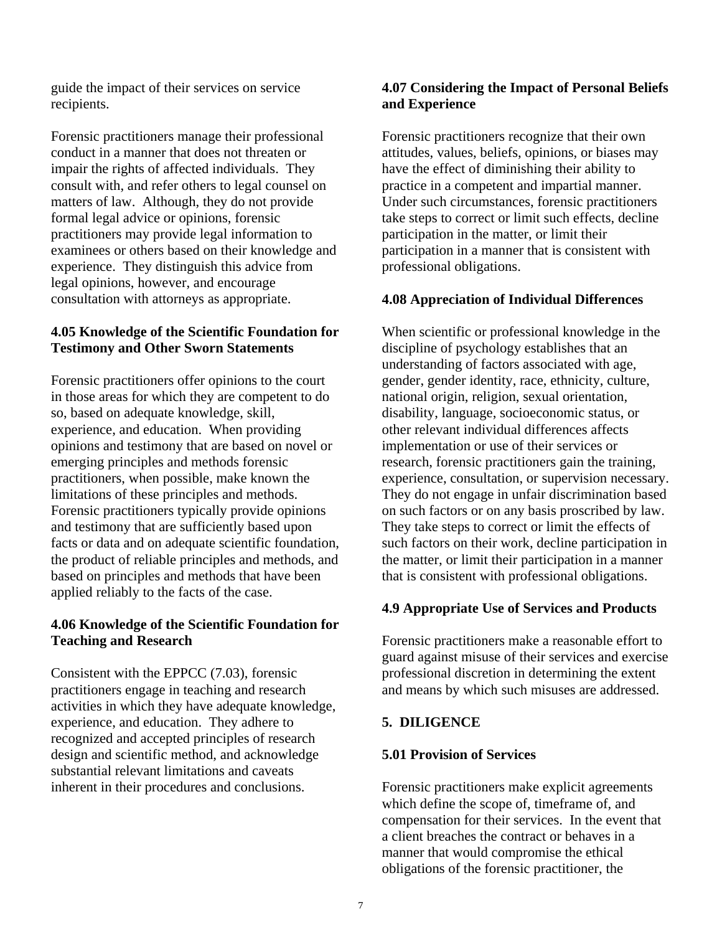guide the impact of their services on service recipients.

Forensic practitioners manage their professional conduct in a manner that does not threaten or impair the rights of affected individuals. They consult with, and refer others to legal counsel on matters of law. Although, they do not provide formal legal advice or opinions, forensic practitioners may provide legal information to examinees or others based on their knowledge and experience. They distinguish this advice from legal opinions, however, and encourage consultation with attorneys as appropriate.

## **4.05 Knowledge of the Scientific Foundation for Testimony and Other Sworn Statements**

Forensic practitioners offer opinions to the court in those areas for which they are competent to do so, based on adequate knowledge, skill, experience, and education. When providing opinions and testimony that are based on novel or emerging principles and methods forensic practitioners, when possible, make known the limitations of these principles and methods. Forensic practitioners typically provide opinions and testimony that are sufficiently based upon facts or data and on adequate scientific foundation, the product of reliable principles and methods, and based on principles and methods that have been applied reliably to the facts of the case.

## **4.06 Knowledge of the Scientific Foundation for Teaching and Research**

Consistent with the EPPCC (7.03), forensic practitioners engage in teaching and research activities in which they have adequate knowledge, experience, and education. They adhere to recognized and accepted principles of research design and scientific method, and acknowledge substantial relevant limitations and caveats inherent in their procedures and conclusions.

## **4.07 Considering the Impact of Personal Beliefs and Experience**

Forensic practitioners recognize that their own attitudes, values, beliefs, opinions, or biases may have the effect of diminishing their ability to practice in a competent and impartial manner. Under such circumstances, forensic practitioners take steps to correct or limit such effects, decline participation in the matter, or limit their participation in a manner that is consistent with professional obligations.

## **4.08 Appreciation of Individual Differences**

When scientific or professional knowledge in the discipline of psychology establishes that an understanding of factors associated with age, gender, gender identity, race, ethnicity, culture, national origin, religion, sexual orientation, disability, language, socioeconomic status, or other relevant individual differences affects implementation or use of their services or research, forensic practitioners gain the training, experience, consultation, or supervision necessary. They do not engage in unfair discrimination based on such factors or on any basis proscribed by law. They take steps to correct or limit the effects of such factors on their work, decline participation in the matter, or limit their participation in a manner that is consistent with professional obligations.

#### **4.9 Appropriate Use of Services and Products**

Forensic practitioners make a reasonable effort to guard against misuse of their services and exercise professional discretion in determining the extent and means by which such misuses are addressed.

#### **5. DILIGENCE**

#### **5.01 Provision of Services**

Forensic practitioners make explicit agreements which define the scope of, timeframe of, and compensation for their services. In the event that a client breaches the contract or behaves in a manner that would compromise the ethical obligations of the forensic practitioner, the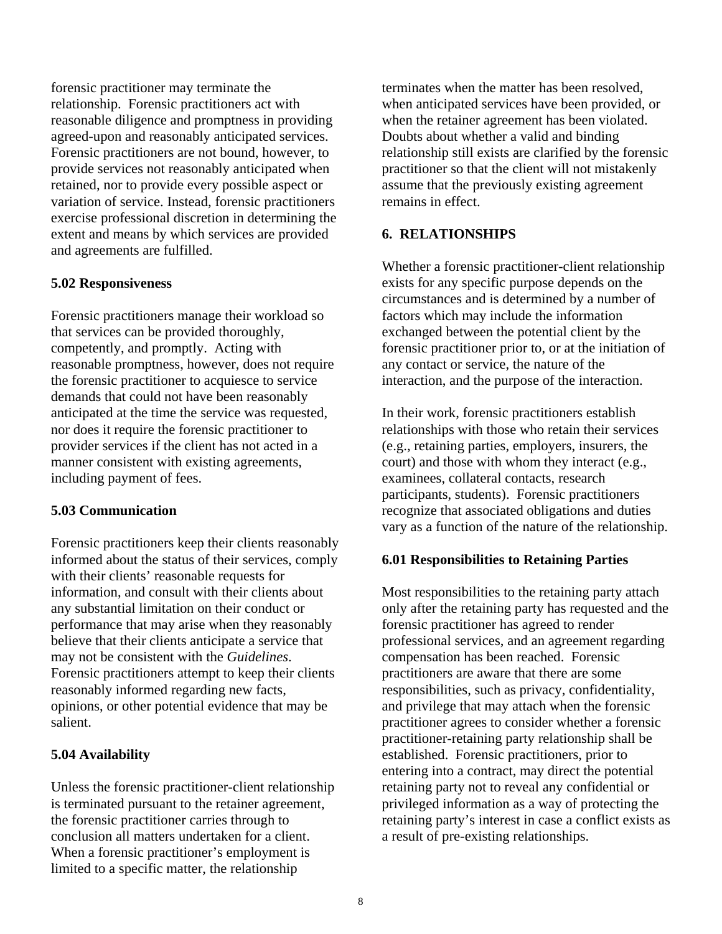forensic practitioner may terminate the relationship. Forensic practitioners act with reasonable diligence and promptness in providing agreed-upon and reasonably anticipated services. Forensic practitioners are not bound, however, to provide services not reasonably anticipated when retained, nor to provide every possible aspect or variation of service. Instead, forensic practitioners exercise professional discretion in determining the extent and means by which services are provided and agreements are fulfilled.

## **5.02 Responsiveness**

Forensic practitioners manage their workload so that services can be provided thoroughly, competently, and promptly. Acting with reasonable promptness, however, does not require the forensic practitioner to acquiesce to service demands that could not have been reasonably anticipated at the time the service was requested, nor does it require the forensic practitioner to provider services if the client has not acted in a manner consistent with existing agreements, including payment of fees.

#### **5.03 Communication**

Forensic practitioners keep their clients reasonably informed about the status of their services, comply with their clients' reasonable requests for information, and consult with their clients about any substantial limitation on their conduct or performance that may arise when they reasonably believe that their clients anticipate a service that may not be consistent with the *Guidelines*. Forensic practitioners attempt to keep their clients reasonably informed regarding new facts, opinions, or other potential evidence that may be salient.

## **5.04 Availability**

Unless the forensic practitioner-client relationship is terminated pursuant to the retainer agreement, the forensic practitioner carries through to conclusion all matters undertaken for a client. When a forensic practitioner's employment is limited to a specific matter, the relationship

terminates when the matter has been resolved, when anticipated services have been provided, or when the retainer agreement has been violated. Doubts about whether a valid and binding relationship still exists are clarified by the forensic practitioner so that the client will not mistakenly assume that the previously existing agreement remains in effect.

# **6. RELATIONSHIPS**

Whether a forensic practitioner-client relationship exists for any specific purpose depends on the circumstances and is determined by a number of factors which may include the information exchanged between the potential client by the forensic practitioner prior to, or at the initiation of any contact or service, the nature of the interaction, and the purpose of the interaction.

In their work, forensic practitioners establish relationships with those who retain their services (e.g., retaining parties, employers, insurers, the court) and those with whom they interact (e.g., examinees, collateral contacts, research participants, students). Forensic practitioners recognize that associated obligations and duties vary as a function of the nature of the relationship.

## **6.01 Responsibilities to Retaining Parties**

Most responsibilities to the retaining party attach only after the retaining party has requested and the forensic practitioner has agreed to render professional services, and an agreement regarding compensation has been reached. Forensic practitioners are aware that there are some responsibilities, such as privacy, confidentiality, and privilege that may attach when the forensic practitioner agrees to consider whether a forensic practitioner-retaining party relationship shall be established. Forensic practitioners, prior to entering into a contract, may direct the potential retaining party not to reveal any confidential or privileged information as a way of protecting the retaining party's interest in case a conflict exists as a result of pre-existing relationships.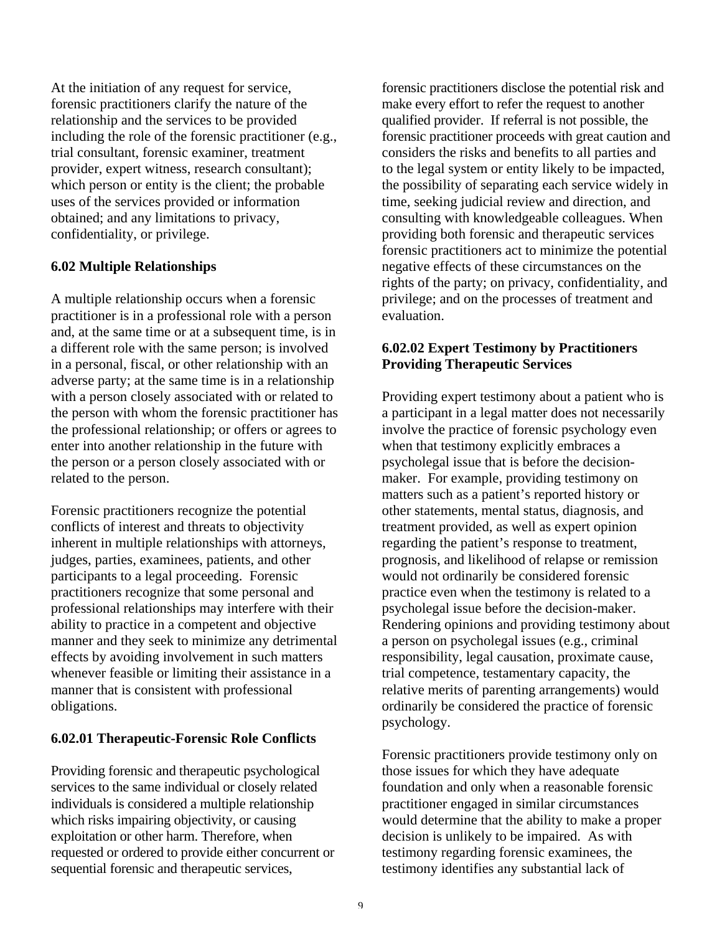At the initiation of any request for service, forensic practitioners clarify the nature of the relationship and the services to be provided including the role of the forensic practitioner (e.g., trial consultant, forensic examiner, treatment provider, expert witness, research consultant); which person or entity is the client; the probable uses of the services provided or information obtained; and any limitations to privacy, confidentiality, or privilege.

#### **6.02 Multiple Relationships**

A multiple relationship occurs when a forensic practitioner is in a professional role with a person and, at the same time or at a subsequent time, is in a different role with the same person; is involved in a personal, fiscal, or other relationship with an adverse party; at the same time is in a relationship with a person closely associated with or related to the person with whom the forensic practitioner has the professional relationship; or offers or agrees to enter into another relationship in the future with the person or a person closely associated with or related to the person.

Forensic practitioners recognize the potential conflicts of interest and threats to objectivity inherent in multiple relationships with attorneys, judges, parties, examinees, patients, and other participants to a legal proceeding. Forensic practitioners recognize that some personal and professional relationships may interfere with their ability to practice in a competent and objective manner and they seek to minimize any detrimental effects by avoiding involvement in such matters whenever feasible or limiting their assistance in a manner that is consistent with professional obligations.

#### **6.02.01 Therapeutic-Forensic Role Conflicts**

Providing forensic and therapeutic psychological services to the same individual or closely related individuals is considered a multiple relationship which risks impairing objectivity, or causing exploitation or other harm. Therefore, when requested or ordered to provide either concurrent or sequential forensic and therapeutic services,

forensic practitioners disclose the potential risk and make every effort to refer the request to another qualified provider. If referral is not possible, the forensic practitioner proceeds with great caution and considers the risks and benefits to all parties and to the legal system or entity likely to be impacted, the possibility of separating each service widely in time, seeking judicial review and direction, and consulting with knowledgeable colleagues. When providing both forensic and therapeutic services forensic practitioners act to minimize the potential negative effects of these circumstances on the rights of the party; on privacy, confidentiality, and privilege; and on the processes of treatment and evaluation.

### **6.02.02 Expert Testimony by Practitioners Providing Therapeutic Services**

Providing expert testimony about a patient who is a participant in a legal matter does not necessarily involve the practice of forensic psychology even when that testimony explicitly embraces a psycholegal issue that is before the decisionmaker. For example, providing testimony on matters such as a patient's reported history or other statements, mental status, diagnosis, and treatment provided, as well as expert opinion regarding the patient's response to treatment, prognosis, and likelihood of relapse or remission would not ordinarily be considered forensic practice even when the testimony is related to a psycholegal issue before the decision-maker. Rendering opinions and providing testimony about a person on psycholegal issues (e.g., criminal responsibility, legal causation, proximate cause, trial competence, testamentary capacity, the relative merits of parenting arrangements) would ordinarily be considered the practice of forensic psychology.

Forensic practitioners provide testimony only on those issues for which they have adequate foundation and only when a reasonable forensic practitioner engaged in similar circumstances would determine that the ability to make a proper decision is unlikely to be impaired. As with testimony regarding forensic examinees, the testimony identifies any substantial lack of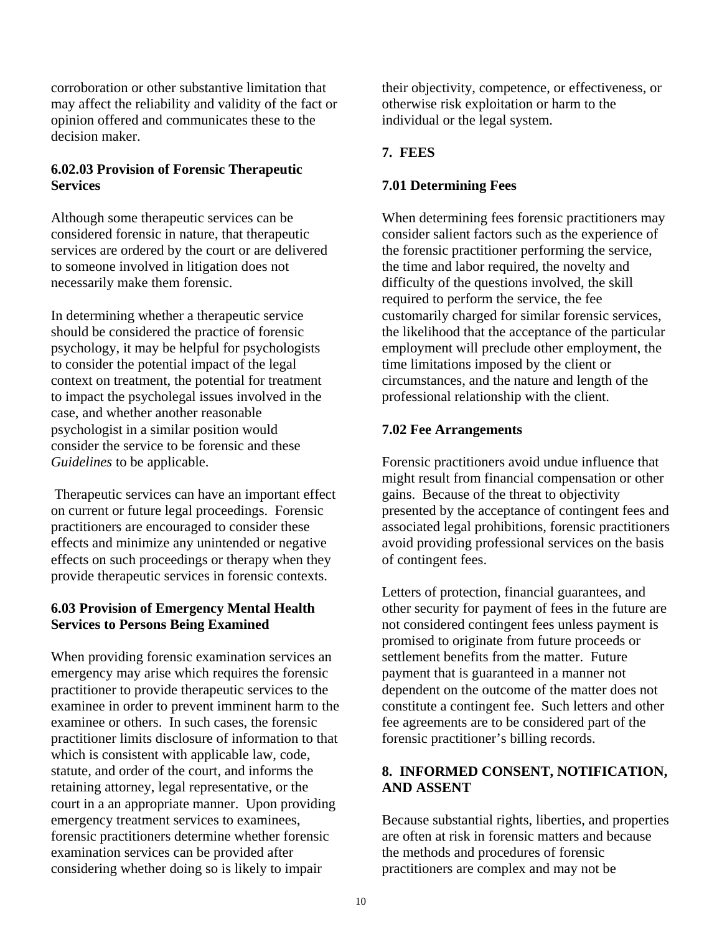corroboration or other substantive limitation that may affect the reliability and validity of the fact or opinion offered and communicates these to the decision maker.

## **6.02.03 Provision of Forensic Therapeutic Services**

Although some therapeutic services can be considered forensic in nature, that therapeutic services are ordered by the court or are delivered to someone involved in litigation does not necessarily make them forensic.

In determining whether a therapeutic service should be considered the practice of forensic psychology, it may be helpful for psychologists to consider the potential impact of the legal context on treatment, the potential for treatment to impact the psycholegal issues involved in the case, and whether another reasonable psychologist in a similar position would consider the service to be forensic and these *Guidelines* to be applicable.

 Therapeutic services can have an important effect on current or future legal proceedings. Forensic practitioners are encouraged to consider these effects and minimize any unintended or negative effects on such proceedings or therapy when they provide therapeutic services in forensic contexts.

## **6.03 Provision of Emergency Mental Health Services to Persons Being Examined**

When providing forensic examination services an emergency may arise which requires the forensic practitioner to provide therapeutic services to the examinee in order to prevent imminent harm to the examinee or others. In such cases, the forensic practitioner limits disclosure of information to that which is consistent with applicable law, code, statute, and order of the court, and informs the retaining attorney, legal representative, or the court in a an appropriate manner. Upon providing emergency treatment services to examinees, forensic practitioners determine whether forensic examination services can be provided after considering whether doing so is likely to impair

their objectivity, competence, or effectiveness, or otherwise risk exploitation or harm to the individual or the legal system.

## **7. FEES**

# **7.01 Determining Fees**

When determining fees forensic practitioners may consider salient factors such as the experience of the forensic practitioner performing the service, the time and labor required, the novelty and difficulty of the questions involved, the skill required to perform the service, the fee customarily charged for similar forensic services, the likelihood that the acceptance of the particular employment will preclude other employment, the time limitations imposed by the client or circumstances, and the nature and length of the professional relationship with the client.

## **7.02 Fee Arrangements**

Forensic practitioners avoid undue influence that might result from financial compensation or other gains. Because of the threat to objectivity presented by the acceptance of contingent fees and associated legal prohibitions, forensic practitioners avoid providing professional services on the basis of contingent fees.

Letters of protection, financial guarantees, and other security for payment of fees in the future are not considered contingent fees unless payment is promised to originate from future proceeds or settlement benefits from the matter. Future payment that is guaranteed in a manner not dependent on the outcome of the matter does not constitute a contingent fee. Such letters and other fee agreements are to be considered part of the forensic practitioner's billing records.

## **8. INFORMED CONSENT, NOTIFICATION, AND ASSENT**

Because substantial rights, liberties, and properties are often at risk in forensic matters and because the methods and procedures of forensic practitioners are complex and may not be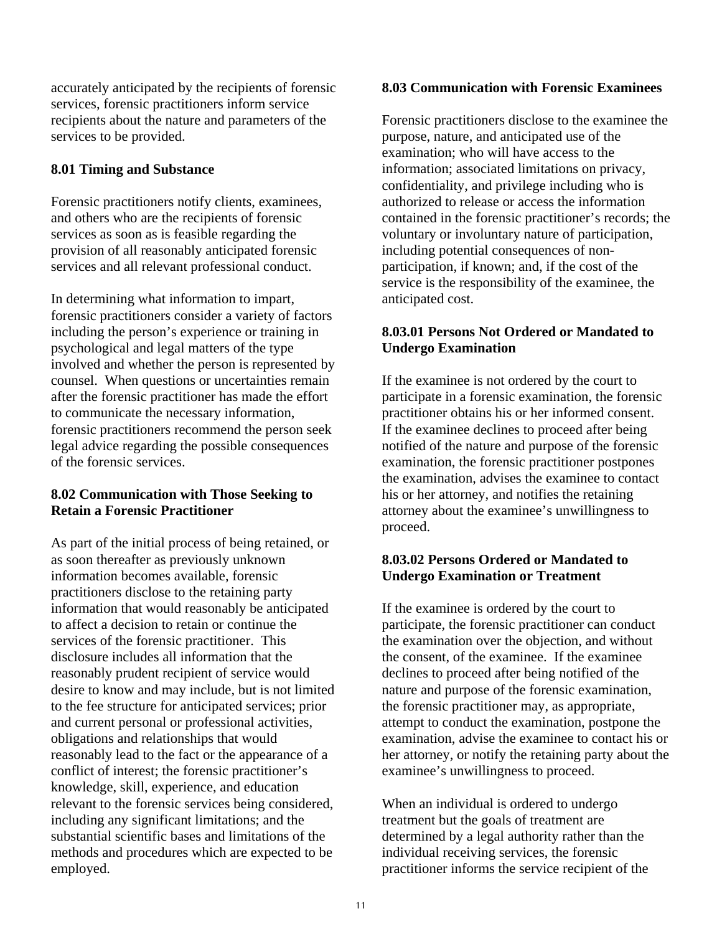accurately anticipated by the recipients of forensic services, forensic practitioners inform service recipients about the nature and parameters of the services to be provided.

## **8.01 Timing and Substance**

Forensic practitioners notify clients, examinees, and others who are the recipients of forensic services as soon as is feasible regarding the provision of all reasonably anticipated forensic services and all relevant professional conduct.

In determining what information to impart, forensic practitioners consider a variety of factors including the person's experience or training in psychological and legal matters of the type involved and whether the person is represented by counsel. When questions or uncertainties remain after the forensic practitioner has made the effort to communicate the necessary information, forensic practitioners recommend the person seek legal advice regarding the possible consequences of the forensic services.

## **8.02 Communication with Those Seeking to Retain a Forensic Practitioner**

As part of the initial process of being retained, or as soon thereafter as previously unknown information becomes available, forensic practitioners disclose to the retaining party information that would reasonably be anticipated to affect a decision to retain or continue the services of the forensic practitioner. This disclosure includes all information that the reasonably prudent recipient of service would desire to know and may include, but is not limited to the fee structure for anticipated services; prior and current personal or professional activities, obligations and relationships that would reasonably lead to the fact or the appearance of a conflict of interest; the forensic practitioner's knowledge, skill, experience, and education relevant to the forensic services being considered, including any significant limitations; and the substantial scientific bases and limitations of the methods and procedures which are expected to be employed.

### **8.03 Communication with Forensic Examinees**

Forensic practitioners disclose to the examinee the purpose, nature, and anticipated use of the examination; who will have access to the information; associated limitations on privacy, confidentiality, and privilege including who is authorized to release or access the information contained in the forensic practitioner's records; the voluntary or involuntary nature of participation, including potential consequences of nonparticipation, if known; and, if the cost of the service is the responsibility of the examinee, the anticipated cost.

## **8.03.01 Persons Not Ordered or Mandated to Undergo Examination**

If the examinee is not ordered by the court to participate in a forensic examination, the forensic practitioner obtains his or her informed consent. If the examinee declines to proceed after being notified of the nature and purpose of the forensic examination, the forensic practitioner postpones the examination, advises the examinee to contact his or her attorney, and notifies the retaining attorney about the examinee's unwillingness to proceed.

## **8.03.02 Persons Ordered or Mandated to Undergo Examination or Treatment**

If the examinee is ordered by the court to participate, the forensic practitioner can conduct the examination over the objection, and without the consent, of the examinee. If the examinee declines to proceed after being notified of the nature and purpose of the forensic examination, the forensic practitioner may, as appropriate, attempt to conduct the examination, postpone the examination, advise the examinee to contact his or her attorney, or notify the retaining party about the examinee's unwillingness to proceed.

When an individual is ordered to undergo treatment but the goals of treatment are determined by a legal authority rather than the individual receiving services, the forensic practitioner informs the service recipient of the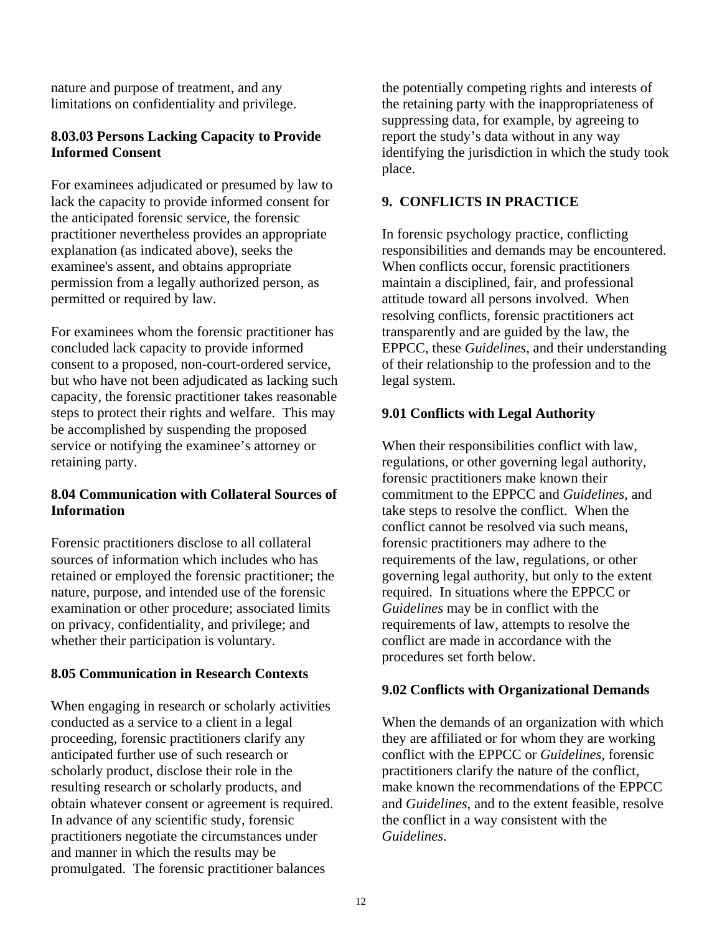nature and purpose of treatment, and any limitations on confidentiality and privilege.

## **8.03.03 Persons Lacking Capacity to Provide Informed Consent**

For examinees adjudicated or presumed by law to lack the capacity to provide informed consent for the anticipated forensic service, the forensic practitioner nevertheless provides an appropriate explanation (as indicated above), seeks the examinee's assent, and obtains appropriate permission from a legally authorized person, as permitted or required by law.

For examinees whom the forensic practitioner has concluded lack capacity to provide informed consent to a proposed, non-court-ordered service, but who have not been adjudicated as lacking such capacity, the forensic practitioner takes reasonable steps to protect their rights and welfare. This may be accomplished by suspending the proposed service or notifying the examinee's attorney or retaining party.

## **8.04 Communication with Collateral Sources of Information**

Forensic practitioners disclose to all collateral sources of information which includes who has retained or employed the forensic practitioner; the nature, purpose, and intended use of the forensic examination or other procedure; associated limits on privacy, confidentiality, and privilege; and whether their participation is voluntary.

## **8.05 Communication in Research Contexts**

When engaging in research or scholarly activities conducted as a service to a client in a legal proceeding, forensic practitioners clarify any anticipated further use of such research or scholarly product, disclose their role in the resulting research or scholarly products, and obtain whatever consent or agreement is required. In advance of any scientific study, forensic practitioners negotiate the circumstances under and manner in which the results may be promulgated. The forensic practitioner balances

the potentially competing rights and interests of the retaining party with the inappropriateness of suppressing data, for example, by agreeing to report the study's data without in any way identifying the jurisdiction in which the study took place.

# **9. CONFLICTS IN PRACTICE**

In forensic psychology practice, conflicting responsibilities and demands may be encountered. When conflicts occur, forensic practitioners maintain a disciplined, fair, and professional attitude toward all persons involved. When resolving conflicts, forensic practitioners act transparently and are guided by the law, the EPPCC, these *Guidelines*, and their understanding of their relationship to the profession and to the legal system.

## **9.01 Conflicts with Legal Authority**

When their responsibilities conflict with law, regulations, or other governing legal authority, forensic practitioners make known their commitment to the EPPCC and *Guidelines,* and take steps to resolve the conflict. When the conflict cannot be resolved via such means, forensic practitioners may adhere to the requirements of the law, regulations, or other governing legal authority, but only to the extent required. In situations where the EPPCC or *Guidelines* may be in conflict with the requirements of law, attempts to resolve the conflict are made in accordance with the procedures set forth below.

#### **9.02 Conflicts with Organizational Demands**

When the demands of an organization with which they are affiliated or for whom they are working conflict with the EPPCC or *Guidelines*, forensic practitioners clarify the nature of the conflict, make known the recommendations of the EPPCC and *Guidelines*, and to the extent feasible, resolve the conflict in a way consistent with the *Guidelines*.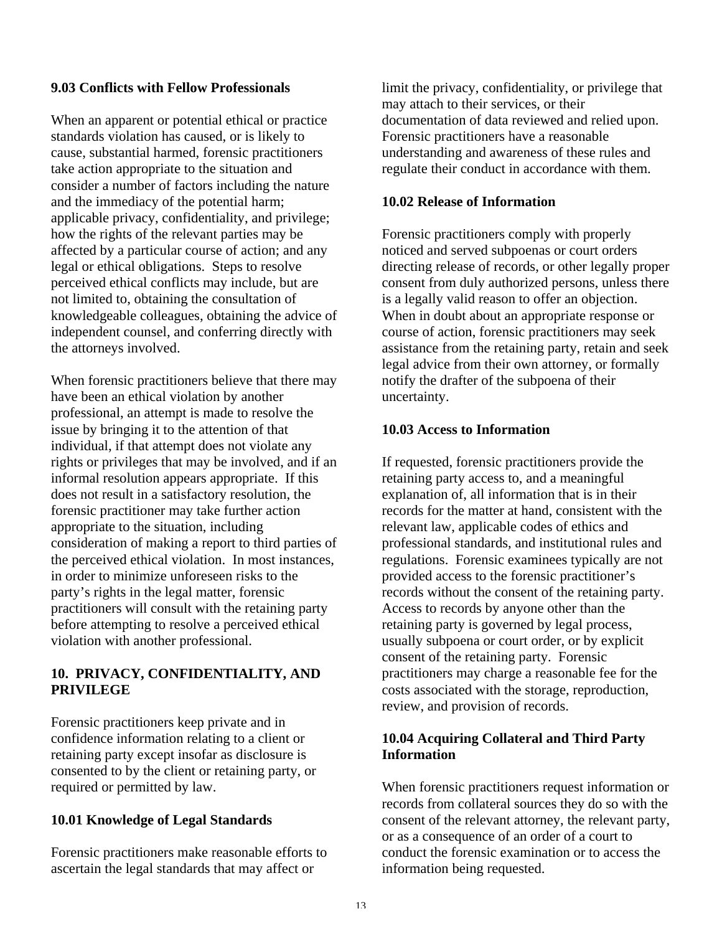### **9.03 Conflicts with Fellow Professionals**

When an apparent or potential ethical or practice standards violation has caused, or is likely to cause, substantial harmed, forensic practitioners take action appropriate to the situation and consider a number of factors including the nature and the immediacy of the potential harm; applicable privacy, confidentiality, and privilege; how the rights of the relevant parties may be affected by a particular course of action; and any legal or ethical obligations. Steps to resolve perceived ethical conflicts may include, but are not limited to, obtaining the consultation of knowledgeable colleagues, obtaining the advice of independent counsel, and conferring directly with the attorneys involved.

When forensic practitioners believe that there may have been an ethical violation by another professional, an attempt is made to resolve the issue by bringing it to the attention of that individual, if that attempt does not violate any rights or privileges that may be involved, and if an informal resolution appears appropriate. If this does not result in a satisfactory resolution, the forensic practitioner may take further action appropriate to the situation, including consideration of making a report to third parties of the perceived ethical violation. In most instances, in order to minimize unforeseen risks to the party's rights in the legal matter, forensic practitioners will consult with the retaining party before attempting to resolve a perceived ethical violation with another professional.

## **10. PRIVACY, CONFIDENTIALITY, AND PRIVILEGE**

Forensic practitioners keep private and in confidence information relating to a client or retaining party except insofar as disclosure is consented to by the client or retaining party, or required or permitted by law.

## **10.01 Knowledge of Legal Standards**

Forensic practitioners make reasonable efforts to ascertain the legal standards that may affect or

limit the privacy, confidentiality, or privilege that may attach to their services, or their documentation of data reviewed and relied upon. Forensic practitioners have a reasonable understanding and awareness of these rules and regulate their conduct in accordance with them.

## **10.02 Release of Information**

Forensic practitioners comply with properly noticed and served subpoenas or court orders directing release of records, or other legally proper consent from duly authorized persons, unless there is a legally valid reason to offer an objection. When in doubt about an appropriate response or course of action, forensic practitioners may seek assistance from the retaining party, retain and seek legal advice from their own attorney, or formally notify the drafter of the subpoena of their uncertainty.

## **10.03 Access to Information**

If requested, forensic practitioners provide the retaining party access to, and a meaningful explanation of, all information that is in their records for the matter at hand, consistent with the relevant law, applicable codes of ethics and professional standards, and institutional rules and regulations. Forensic examinees typically are not provided access to the forensic practitioner's records without the consent of the retaining party. Access to records by anyone other than the retaining party is governed by legal process, usually subpoena or court order, or by explicit consent of the retaining party. Forensic practitioners may charge a reasonable fee for the costs associated with the storage, reproduction, review, and provision of records.

## **10.04 Acquiring Collateral and Third Party Information**

When forensic practitioners request information or records from collateral sources they do so with the consent of the relevant attorney, the relevant party, or as a consequence of an order of a court to conduct the forensic examination or to access the information being requested.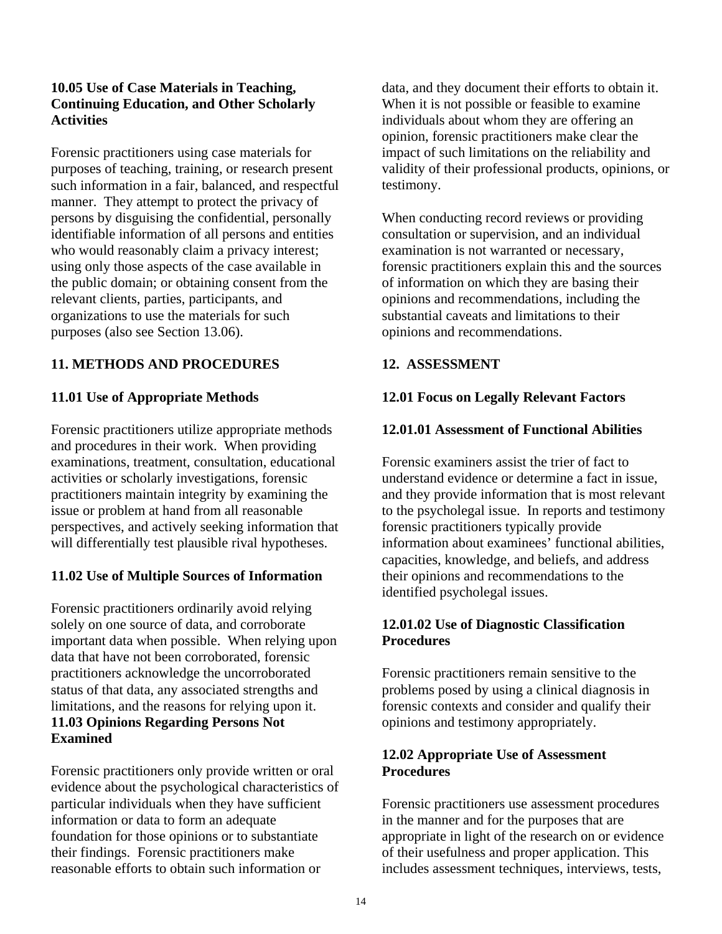## **10.05 Use of Case Materials in Teaching, Continuing Education, and Other Scholarly Activities**

Forensic practitioners using case materials for purposes of teaching, training, or research present such information in a fair, balanced, and respectful manner. They attempt to protect the privacy of persons by disguising the confidential, personally identifiable information of all persons and entities who would reasonably claim a privacy interest; using only those aspects of the case available in the public domain; or obtaining consent from the relevant clients, parties, participants, and organizations to use the materials for such purposes (also see Section 13.06).

# **11. METHODS AND PROCEDURES**

## **11.01 Use of Appropriate Methods**

Forensic practitioners utilize appropriate methods and procedures in their work. When providing examinations, treatment, consultation, educational activities or scholarly investigations, forensic practitioners maintain integrity by examining the issue or problem at hand from all reasonable perspectives, and actively seeking information that will differentially test plausible rival hypotheses.

## **11.02 Use of Multiple Sources of Information**

Forensic practitioners ordinarily avoid relying solely on one source of data, and corroborate important data when possible. When relying upon data that have not been corroborated, forensic practitioners acknowledge the uncorroborated status of that data, any associated strengths and limitations, and the reasons for relying upon it. **11.03 Opinions Regarding Persons Not Examined**

Forensic practitioners only provide written or oral evidence about the psychological characteristics of particular individuals when they have sufficient information or data to form an adequate foundation for those opinions or to substantiate their findings. Forensic practitioners make reasonable efforts to obtain such information or

data, and they document their efforts to obtain it. When it is not possible or feasible to examine individuals about whom they are offering an opinion, forensic practitioners make clear the impact of such limitations on the reliability and validity of their professional products, opinions, or testimony.

When conducting record reviews or providing consultation or supervision, and an individual examination is not warranted or necessary, forensic practitioners explain this and the sources of information on which they are basing their opinions and recommendations, including the substantial caveats and limitations to their opinions and recommendations.

## **12. ASSESSMENT**

## **12.01 Focus on Legally Relevant Factors**

## **12.01.01 Assessment of Functional Abilities**

Forensic examiners assist the trier of fact to understand evidence or determine a fact in issue, and they provide information that is most relevant to the psycholegal issue. In reports and testimony forensic practitioners typically provide information about examinees' functional abilities, capacities, knowledge, and beliefs, and address their opinions and recommendations to the identified psycholegal issues.

## **12.01.02 Use of Diagnostic Classification Procedures**

Forensic practitioners remain sensitive to the problems posed by using a clinical diagnosis in forensic contexts and consider and qualify their opinions and testimony appropriately.

## **12.02 Appropriate Use of Assessment Procedures**

Forensic practitioners use assessment procedures in the manner and for the purposes that are appropriate in light of the research on or evidence of their usefulness and proper application. This includes assessment techniques, interviews, tests,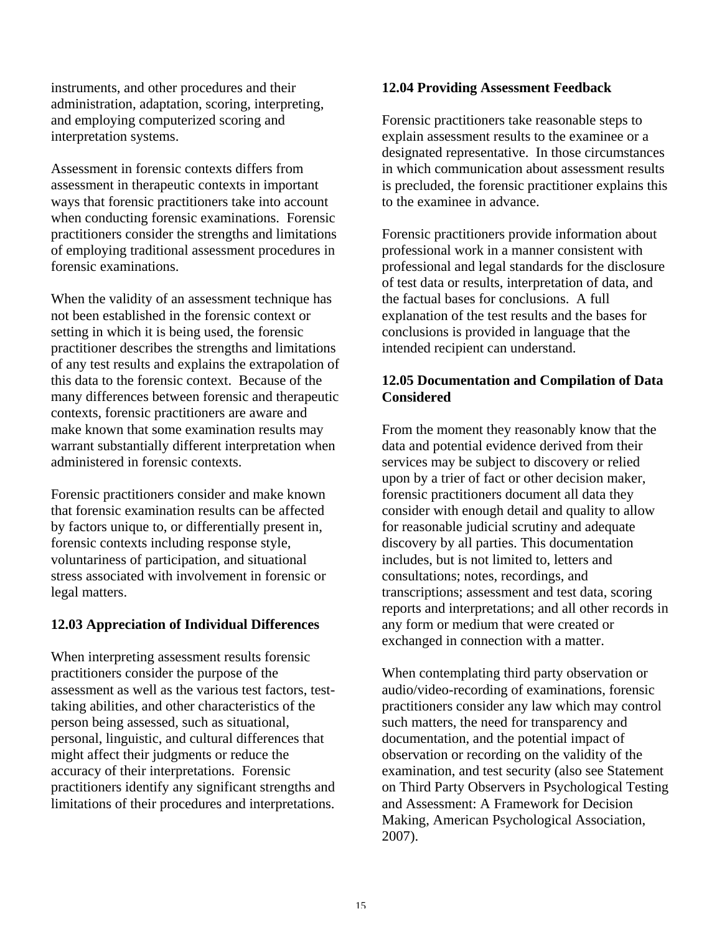instruments, and other procedures and their administration, adaptation, scoring, interpreting, and employing computerized scoring and interpretation systems.

Assessment in forensic contexts differs from assessment in therapeutic contexts in important ways that forensic practitioners take into account when conducting forensic examinations. Forensic practitioners consider the strengths and limitations of employing traditional assessment procedures in forensic examinations.

When the validity of an assessment technique has not been established in the forensic context or setting in which it is being used, the forensic practitioner describes the strengths and limitations of any test results and explains the extrapolation of this data to the forensic context. Because of the many differences between forensic and therapeutic contexts, forensic practitioners are aware and make known that some examination results may warrant substantially different interpretation when administered in forensic contexts.

Forensic practitioners consider and make known that forensic examination results can be affected by factors unique to, or differentially present in, forensic contexts including response style, voluntariness of participation, and situational stress associated with involvement in forensic or legal matters.

## **12.03 Appreciation of Individual Differences**

When interpreting assessment results forensic practitioners consider the purpose of the assessment as well as the various test factors, testtaking abilities, and other characteristics of the person being assessed, such as situational, personal, linguistic, and cultural differences that might affect their judgments or reduce the accuracy of their interpretations. Forensic practitioners identify any significant strengths and limitations of their procedures and interpretations.

#### **12.04 Providing Assessment Feedback**

Forensic practitioners take reasonable steps to explain assessment results to the examinee or a designated representative. In those circumstances in which communication about assessment results is precluded, the forensic practitioner explains this to the examinee in advance.

Forensic practitioners provide information about professional work in a manner consistent with professional and legal standards for the disclosure of test data or results, interpretation of data, and the factual bases for conclusions. A full explanation of the test results and the bases for conclusions is provided in language that the intended recipient can understand.

### **12.05 Documentation and Compilation of Data Considered**

From the moment they reasonably know that the data and potential evidence derived from their services may be subject to discovery or relied upon by a trier of fact or other decision maker, forensic practitioners document all data they consider with enough detail and quality to allow for reasonable judicial scrutiny and adequate discovery by all parties. This documentation includes, but is not limited to, letters and consultations; notes, recordings, and transcriptions; assessment and test data, scoring reports and interpretations; and all other records in any form or medium that were created or exchanged in connection with a matter.

When contemplating third party observation or audio/video-recording of examinations, forensic practitioners consider any law which may control such matters, the need for transparency and documentation, and the potential impact of observation or recording on the validity of the examination, and test security (also see Statement on Third Party Observers in Psychological Testing and Assessment: A Framework for Decision Making, American Psychological Association, 2007).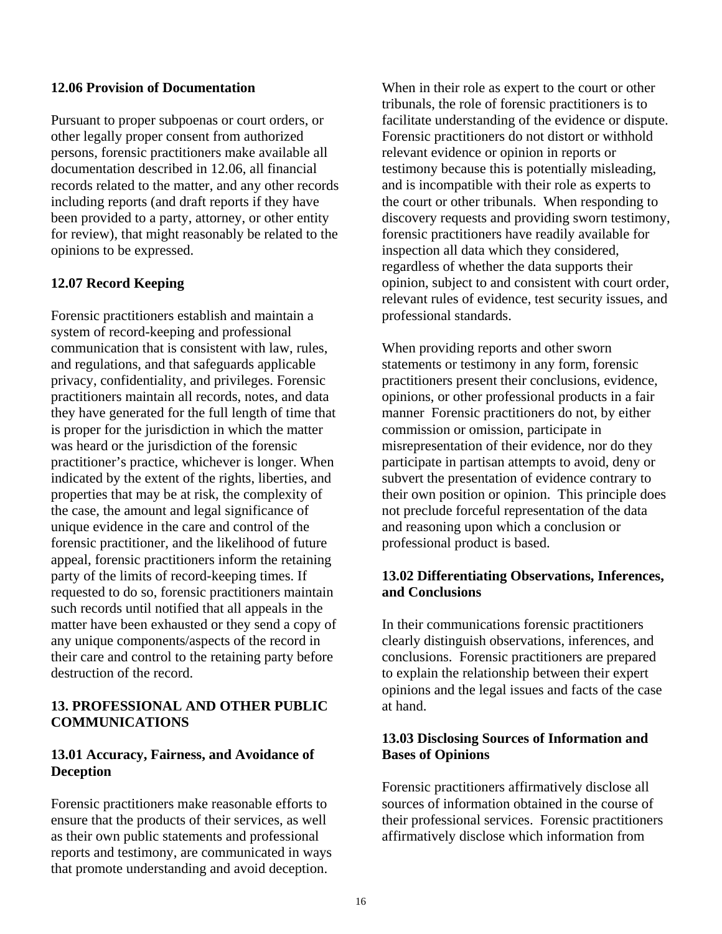### **12.06 Provision of Documentation**

Pursuant to proper subpoenas or court orders, or other legally proper consent from authorized persons, forensic practitioners make available all documentation described in 12.06, all financial records related to the matter, and any other records including reports (and draft reports if they have been provided to a party, attorney, or other entity for review), that might reasonably be related to the opinions to be expressed.

## **12.07 Record Keeping**

Forensic practitioners establish and maintain a system of record-keeping and professional communication that is consistent with law, rules, and regulations, and that safeguards applicable privacy, confidentiality, and privileges. Forensic practitioners maintain all records, notes, and data they have generated for the full length of time that is proper for the jurisdiction in which the matter was heard or the jurisdiction of the forensic practitioner's practice, whichever is longer. When indicated by the extent of the rights, liberties, and properties that may be at risk, the complexity of the case, the amount and legal significance of unique evidence in the care and control of the forensic practitioner, and the likelihood of future appeal, forensic practitioners inform the retaining party of the limits of record-keeping times. If requested to do so, forensic practitioners maintain such records until notified that all appeals in the matter have been exhausted or they send a copy of any unique components/aspects of the record in their care and control to the retaining party before destruction of the record.

## **13. PROFESSIONAL AND OTHER PUBLIC COMMUNICATIONS**

## **13.01 Accuracy, Fairness, and Avoidance of Deception**

Forensic practitioners make reasonable efforts to ensure that the products of their services, as well as their own public statements and professional reports and testimony, are communicated in ways that promote understanding and avoid deception.

When in their role as expert to the court or other tribunals, the role of forensic practitioners is to facilitate understanding of the evidence or dispute. Forensic practitioners do not distort or withhold relevant evidence or opinion in reports or testimony because this is potentially misleading, and is incompatible with their role as experts to the court or other tribunals. When responding to discovery requests and providing sworn testimony, forensic practitioners have readily available for inspection all data which they considered, regardless of whether the data supports their opinion, subject to and consistent with court order, relevant rules of evidence, test security issues, and professional standards.

When providing reports and other sworn statements or testimony in any form, forensic practitioners present their conclusions, evidence, opinions, or other professional products in a fair manner Forensic practitioners do not, by either commission or omission, participate in misrepresentation of their evidence, nor do they participate in partisan attempts to avoid, deny or subvert the presentation of evidence contrary to their own position or opinion. This principle does not preclude forceful representation of the data and reasoning upon which a conclusion or professional product is based.

## **13.02 Differentiating Observations, Inferences, and Conclusions**

In their communications forensic practitioners clearly distinguish observations, inferences, and conclusions. Forensic practitioners are prepared to explain the relationship between their expert opinions and the legal issues and facts of the case at hand.

## **13.03 Disclosing Sources of Information and Bases of Opinions**

Forensic practitioners affirmatively disclose all sources of information obtained in the course of their professional services. Forensic practitioners affirmatively disclose which information from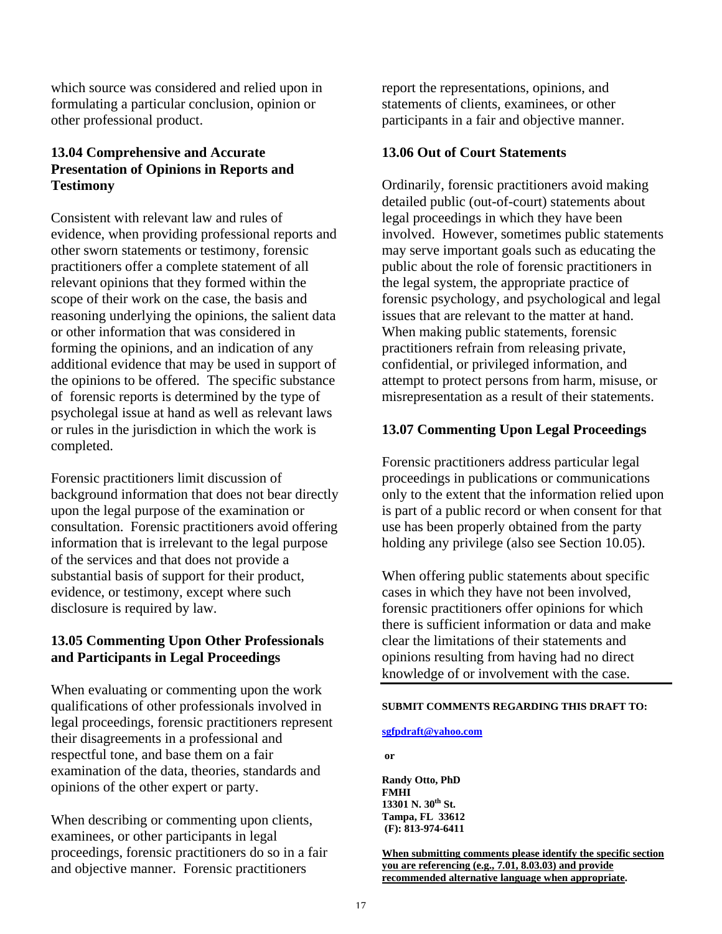which source was considered and relied upon in formulating a particular conclusion, opinion or other professional product.

### **13.04 Comprehensive and Accurate Presentation of Opinions in Reports and Testimony**

Consistent with relevant law and rules of evidence, when providing professional reports and other sworn statements or testimony, forensic practitioners offer a complete statement of all relevant opinions that they formed within the scope of their work on the case, the basis and reasoning underlying the opinions, the salient data or other information that was considered in forming the opinions, and an indication of any additional evidence that may be used in support of the opinions to be offered. The specific substance of forensic reports is determined by the type of psycholegal issue at hand as well as relevant laws or rules in the jurisdiction in which the work is completed.

Forensic practitioners limit discussion of background information that does not bear directly upon the legal purpose of the examination or consultation. Forensic practitioners avoid offering information that is irrelevant to the legal purpose of the services and that does not provide a substantial basis of support for their product, evidence, or testimony, except where such disclosure is required by law.

#### **13.05 Commenting Upon Other Professionals and Participants in Legal Proceedings**

When evaluating or commenting upon the work qualifications of other professionals involved in legal proceedings, forensic practitioners represent their disagreements in a professional and respectful tone, and base them on a fair examination of the data, theories, standards and opinions of the other expert or party.

When describing or commenting upon clients, examinees, or other participants in legal proceedings, forensic practitioners do so in a fair and objective manner. Forensic practitioners

report the representations, opinions, and statements of clients, examinees, or other participants in a fair and objective manner.

#### **13.06 Out of Court Statements**

Ordinarily, forensic practitioners avoid making detailed public (out-of-court) statements about legal proceedings in which they have been involved. However, sometimes public statements may serve important goals such as educating the public about the role of forensic practitioners in the legal system, the appropriate practice of forensic psychology, and psychological and legal issues that are relevant to the matter at hand. When making public statements, forensic practitioners refrain from releasing private, confidential, or privileged information, and attempt to protect persons from harm, misuse, or misrepresentation as a result of their statements.

#### **13.07 Commenting Upon Legal Proceedings**

Forensic practitioners address particular legal proceedings in publications or communications only to the extent that the information relied upon is part of a public record or when consent for that use has been properly obtained from the party holding any privilege (also see Section 10.05).

When offering public statements about specific cases in which they have not been involved, forensic practitioners offer opinions for which there is sufficient information or data and make clear the limitations of their statements and opinions resulting from having had no direct knowledge of or involvement with the case.

#### **SUBMIT COMMENTS REGARDING THIS DRAFT TO:**

#### **[sgfpdraft@yahoo.com](mailto:sgfpdraft@yahoo.com)**

 **or** 

**Randy Otto, PhD FMHI**  13301 N. 30<sup>th</sup> St. **Tampa, FL 33612 (F): 813-974-6411** 

**When submitting comments please identify the specific section you are referencing (e.g., 7.01, 8.03.03) and provide recommended alternative language when appropriate.**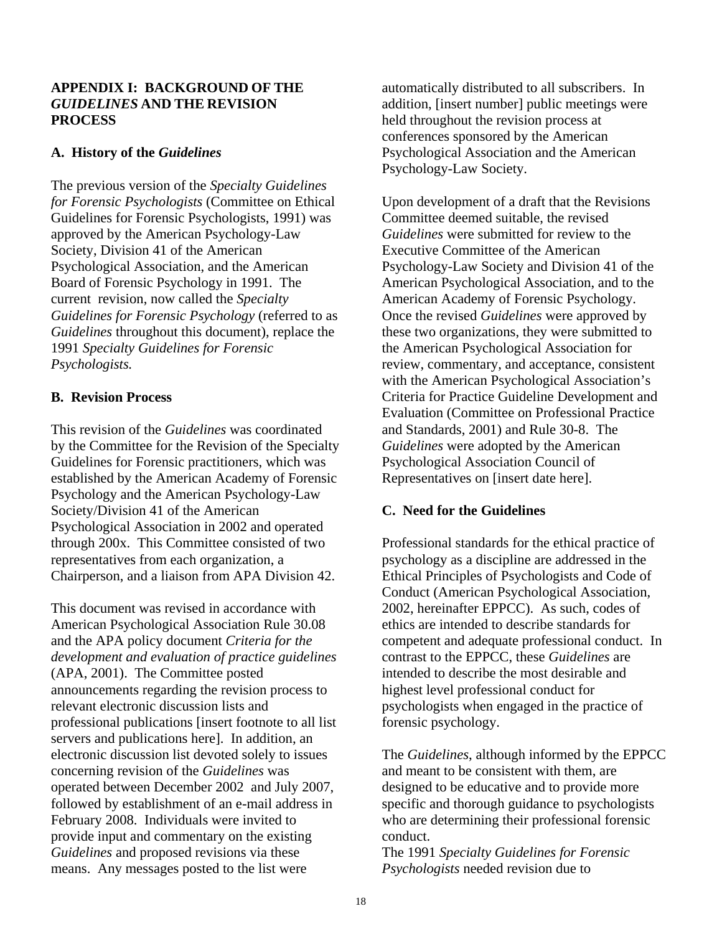### **APPENDIX I: BACKGROUND OF THE** *GUIDELINES* **AND THE REVISION PROCESS**

## **A. History of the** *Guidelines*

The previous version of the *Specialty Guidelines for Forensic Psychologists* (Committee on Ethical Guidelines for Forensic Psychologists, 1991) was approved by the American Psychology-Law Society, Division 41 of the American Psychological Association, and the American Board of Forensic Psychology in 1991. The current revision, now called the *Specialty Guidelines for Forensic Psychology* (referred to as *Guidelines* throughout this document), replace the 1991 *Specialty Guidelines for Forensic Psychologists.*

## **B. Revision Process**

This revision of the *Guidelines* was coordinated by the Committee for the Revision of the Specialty Guidelines for Forensic practitioners, which was established by the American Academy of Forensic Psychology and the American Psychology-Law Society/Division 41 of the American Psychological Association in 2002 and operated through 200x. This Committee consisted of two representatives from each organization, a Chairperson, and a liaison from APA Division 42.

This document was revised in accordance with American Psychological Association Rule 30.08 and the APA policy document *Criteria for the development and evaluation of practice guidelines* (APA, 2001). The Committee posted announcements regarding the revision process to relevant electronic discussion lists and professional publications [insert footnote to all list servers and publications here]. In addition, an electronic discussion list devoted solely to issues concerning revision of the *Guidelines* was operated between December 2002 and July 2007, followed by establishment of an e-mail address in February 2008. Individuals were invited to provide input and commentary on the existing *Guidelines* and proposed revisions via these means. Any messages posted to the list were

automatically distributed to all subscribers. In addition, [insert number] public meetings were held throughout the revision process at conferences sponsored by the American Psychological Association and the American Psychology-Law Society.

Upon development of a draft that the Revisions Committee deemed suitable, the revised *Guidelines* were submitted for review to the Executive Committee of the American Psychology-Law Society and Division 41 of the American Psychological Association, and to the American Academy of Forensic Psychology. Once the revised *Guidelines* were approved by these two organizations, they were submitted to the American Psychological Association for review, commentary, and acceptance, consistent with the American Psychological Association's Criteria for Practice Guideline Development and Evaluation (Committee on Professional Practice and Standards, 2001) and Rule 30-8. The *Guidelines* were adopted by the American Psychological Association Council of Representatives on [insert date here].

## **C. Need for the Guidelines**

Professional standards for the ethical practice of psychology as a discipline are addressed in the Ethical Principles of Psychologists and Code of Conduct (American Psychological Association, 2002, hereinafter EPPCC). As such, codes of ethics are intended to describe standards for competent and adequate professional conduct. In contrast to the EPPCC, these *Guidelines* are intended to describe the most desirable and highest level professional conduct for psychologists when engaged in the practice of forensic psychology.

The *Guidelines*, although informed by the EPPCC and meant to be consistent with them, are designed to be educative and to provide more specific and thorough guidance to psychologists who are determining their professional forensic conduct.

The 1991 *Specialty Guidelines for Forensic Psychologists* needed revision due to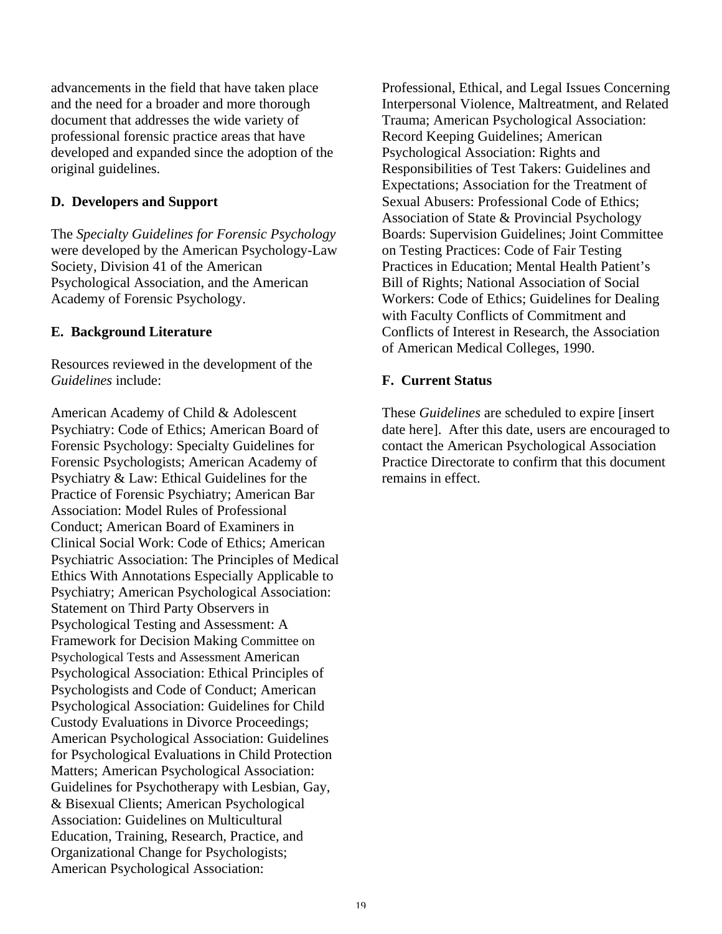advancements in the field that have taken place and the need for a broader and more thorough document that addresses the wide variety of professional forensic practice areas that have developed and expanded since the adoption of the original guidelines.

### **D. Developers and Support**

The *Specialty Guidelines for Forensic Psychology* were developed by the American Psychology-Law Society, Division 41 of the American Psychological Association, and the American Academy of Forensic Psychology.

## **E. Background Literature**

Resources reviewed in the development of the *Guidelines* include:

American Academy of Child & Adolescent Psychiatry: Code of Ethics; American Board of Forensic Psychology: Specialty Guidelines for Forensic Psychologists; American Academy of Psychiatry & Law: Ethical Guidelines for the Practice of Forensic Psychiatry; American Bar Association: Model Rules of Professional Conduct; American Board of Examiners in Clinical Social Work: Code of Ethics; American Psychiatric Association: The Principles of Medical Ethics With Annotations Especially Applicable to Psychiatry; American Psychological Association: Statement on Third Party Observers in Psychological Testing and Assessment: A Framework for Decision Making Committee on Psychological Tests and Assessment American Psychological Association: Ethical Principles of Psychologists and Code of Conduct; American Psychological Association: Guidelines for Child Custody Evaluations in Divorce Proceedings; American Psychological Association: Guidelines for Psychological Evaluations in Child Protection Matters; American Psychological Association: Guidelines for Psychotherapy with Lesbian, Gay, & Bisexual Clients; American Psychological Association: Guidelines on Multicultural Education, Training, Research, Practice, and Organizational Change for Psychologists; American Psychological Association:

Professional, Ethical, and Legal Issues Concerning Interpersonal Violence, Maltreatment, and Related Trauma; American Psychological Association: Record Keeping Guidelines; American Psychological Association: Rights and Responsibilities of Test Takers: Guidelines and Expectations; Association for the Treatment of Sexual Abusers: Professional Code of Ethics; Association of State & Provincial Psychology Boards: Supervision Guidelines; Joint Committee on Testing Practices: Code of Fair Testing Practices in Education; Mental Health Patient's Bill of Rights; National Association of Social Workers: Code of Ethics; Guidelines for Dealing with Faculty Conflicts of Commitment and Conflicts of Interest in Research, the Association of American Medical Colleges, 1990.

## **F. Current Status**

These *Guidelines* are scheduled to expire [insert date here]. After this date, users are encouraged to contact the American Psychological Association Practice Directorate to confirm that this document remains in effect.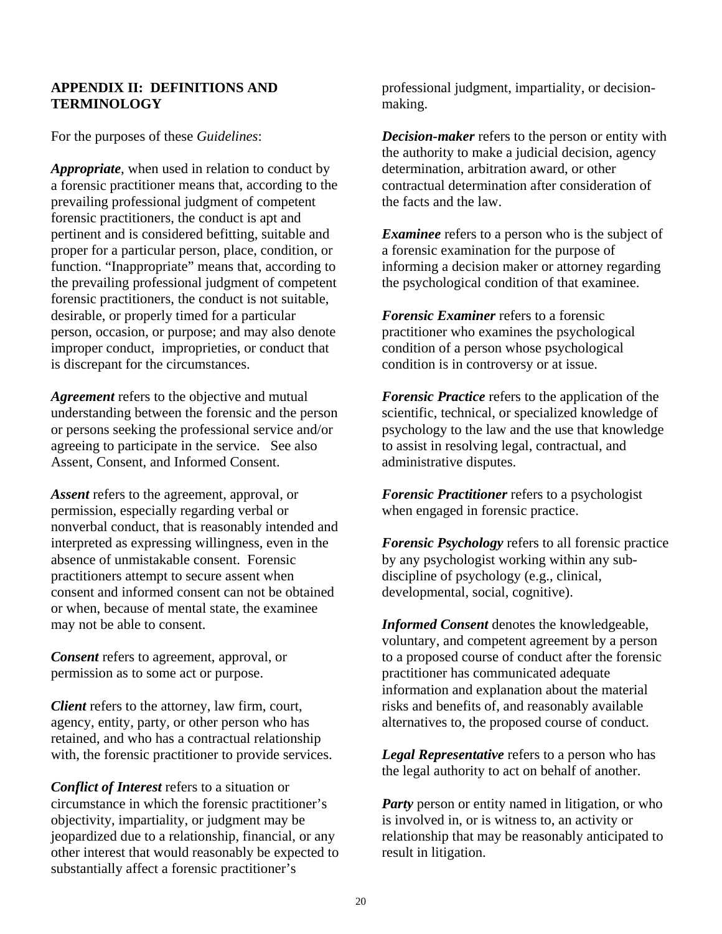#### **APPENDIX II: DEFINITIONS AND TERMINOLOGY**

For the purposes of these *Guidelines*:

*Appropriate*, when used in relation to conduct by a forensic practitioner means that, according to the prevailing professional judgment of competent forensic practitioners, the conduct is apt and pertinent and is considered befitting, suitable and proper for a particular person, place, condition, or function. "Inappropriate" means that, according to the prevailing professional judgment of competent forensic practitioners, the conduct is not suitable, desirable, or properly timed for a particular person, occasion, or purpose; and may also denote improper conduct, improprieties, or conduct that is discrepant for the circumstances.

*Agreement* refers to the objective and mutual understanding between the forensic and the person or persons seeking the professional service and/or agreeing to participate in the service. See also Assent, Consent, and Informed Consent.

*Assent* refers to the agreement, approval, or permission, especially regarding verbal or nonverbal conduct, that is reasonably intended and interpreted as expressing willingness, even in the absence of unmistakable consent. Forensic practitioners attempt to secure assent when consent and informed consent can not be obtained or when, because of mental state, the examinee may not be able to consent.

*Consent* refers to agreement, approval, or permission as to some act or purpose.

*Client* refers to the attorney, law firm, court, agency, entity, party, or other person who has retained, and who has a contractual relationship with, the forensic practitioner to provide services.

*Conflict of Interest* refers to a situation or circumstance in which the forensic practitioner's objectivity, impartiality, or judgment may be jeopardized due to a relationship, financial, or any other interest that would reasonably be expected to substantially affect a forensic practitioner's

professional judgment, impartiality, or decisionmaking.

*Decision-maker* refers to the person or entity with the authority to make a judicial decision, agency determination, arbitration award, or other contractual determination after consideration of the facts and the law.

*Examinee* refers to a person who is the subject of a forensic examination for the purpose of informing a decision maker or attorney regarding the psychological condition of that examinee.

*Forensic Examiner* refers to a forensic practitioner who examines the psychological condition of a person whose psychological condition is in controversy or at issue.

*Forensic Practice* refers to the application of the scientific, technical, or specialized knowledge of psychology to the law and the use that knowledge to assist in resolving legal, contractual, and administrative disputes.

*Forensic Practitioner* refers to a psychologist when engaged in forensic practice.

*Forensic Psychology* refers to all forensic practice by any psychologist working within any subdiscipline of psychology (e.g., clinical, developmental, social, cognitive).

*Informed Consent* denotes the knowledgeable, voluntary, and competent agreement by a person to a proposed course of conduct after the forensic practitioner has communicated adequate information and explanation about the material risks and benefits of, and reasonably available alternatives to, the proposed course of conduct.

*Legal Representative* refers to a person who has the legal authority to act on behalf of another.

*Party* person or entity named in litigation, or who is involved in, or is witness to, an activity or relationship that may be reasonably anticipated to result in litigation.